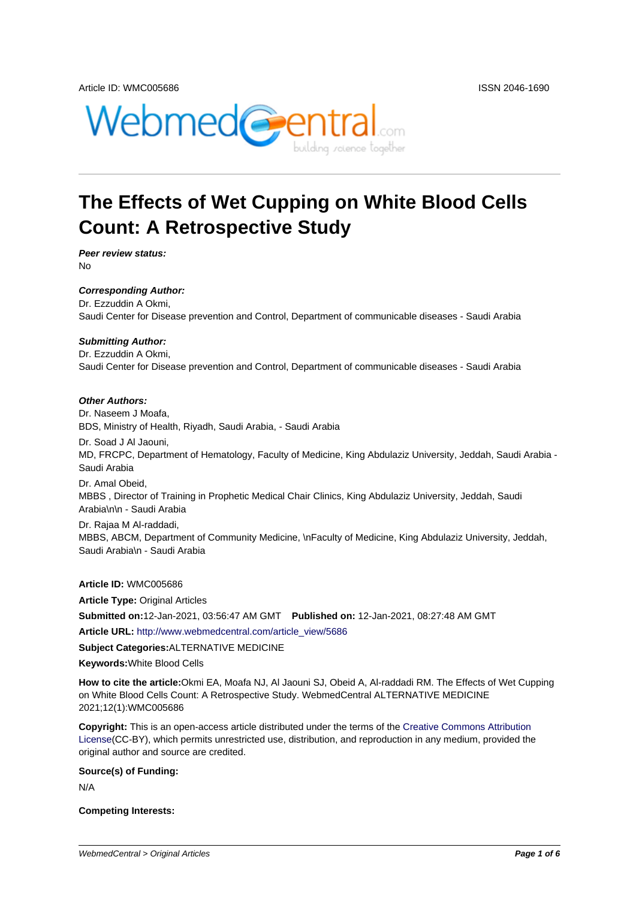

# **The Effects of Wet Cupping on White Blood Cells Count: A Retrospective Study**

**Peer review status:** No

**Corresponding Author:**

Dr. Ezzuddin A Okmi, Saudi Center for Disease prevention and Control, Department of communicable diseases - Saudi Arabia

#### **Submitting Author:**

Dr. Ezzuddin A Okmi, Saudi Center for Disease prevention and Control, Department of communicable diseases - Saudi Arabia

#### **Other Authors:**

Dr. Naseem J Moafa,

BDS, Ministry of Health, Riyadh, Saudi Arabia, - Saudi Arabia

Dr. Soad J Al Jaouni, MD, FRCPC, Department of Hematology, Faculty of Medicine, King Abdulaziz University, Jeddah, Saudi Arabia - Saudi Arabia

Dr. Amal Obeid, MBBS , Director of Training in Prophetic Medical Chair Clinics, King Abdulaziz University, Jeddah, Saudi Arabia\n\n - Saudi Arabia

Dr. Rajaa M Al-raddadi, MBBS, ABCM, Department of Community Medicine, \nFaculty of Medicine, King Abdulaziz University, Jeddah, Saudi Arabia\n - Saudi Arabia

**Article ID:** WMC005686

**Article Type:** Original Articles

**Submitted on:**12-Jan-2021, 03:56:47 AM GMT **Published on:** 12-Jan-2021, 08:27:48 AM GMT

**Article URL:** http://www.webmedcentral.com/article\_view/5686

**Subject Categories:**ALTERNATIVE MEDICINE

**Keywords:**White Blood Cells

**How to cite the article:**[Okmi EA, Moafa NJ, Al Jaouni SJ, Obe](http://www.webmedcentral.com/article_view/5686)id A, Al-raddadi RM. The Effects of Wet Cupping on White Blood Cells Count: A Retrospective Study. WebmedCentral ALTERNATIVE MEDICINE 2021;12(1):WMC005686

**Copyright:** This is an open-access article distributed under the terms of the Creative Commons Attribution License(CC-BY), which permits unrestricted use, distribution, and reproduction in any medium, provided the original author and source are credited.

#### **Source(s) of Funding:**

[N/A](http://creativecommons.org/licenses/by/3.0/)

#### **Competing Interests:**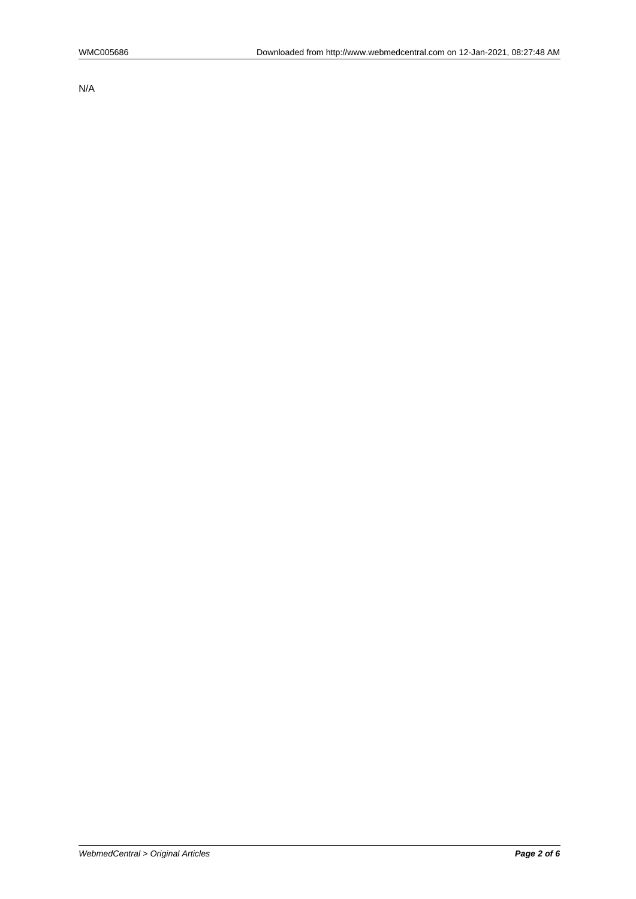N/A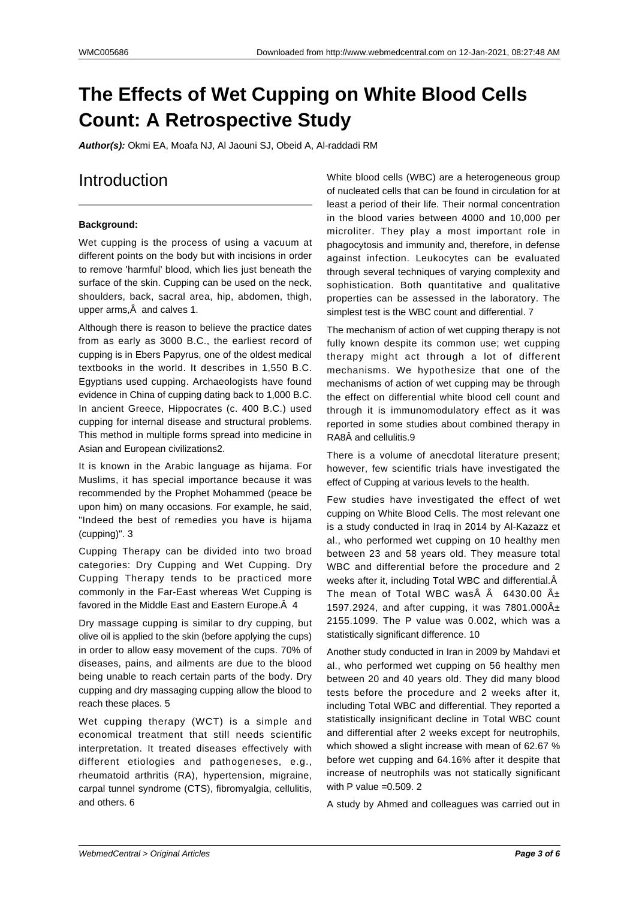# **The Effects of Wet Cupping on White Blood Cells Count: A Retrospective Study**

**Author(s):** Okmi EA, Moafa NJ, Al Jaouni SJ, Obeid A, Al-raddadi RM

# Introduction

#### **Background:**

Wet cupping is the process of using a vacuum at different points on the body but with incisions in order to remove 'harmful' blood, which lies just beneath the surface of the skin. Cupping can be used on the neck, shoulders, back, sacral area, hip, abdomen, thigh, upper arms, $\hat{A}$  and calves 1.

Although there is reason to believe the practice dates from as early as 3000 B.C., the earliest record of cupping is in Ebers Papyrus, one of the oldest medical textbooks in the world. It describes in 1,550 B.C. Egyptians used cupping. Archaeologists have found evidence in China of cupping dating back to 1,000 B.C. In ancient Greece, Hippocrates (c. 400 B.C.) used cupping for internal disease and structural problems. This method in multiple forms spread into medicine in Asian and European civilizations2.

It is known in the Arabic language as hijama. For Muslims, it has special importance because it was recommended by the Prophet Mohammed (peace be upon him) on many occasions. For example, he said, "Indeed the best of remedies you have is hijama (cupping)". 3

Cupping Therapy can be divided into two broad categories: Dry Cupping and Wet Cupping. Dry Cupping Therapy tends to be practiced more commonly in the Far-East whereas Wet Cupping is favored in the Middle East and Eastern Europe. Â 4

Dry massage cupping is similar to dry cupping, but olive oil is applied to the skin (before applying the cups) in order to allow easy movement of the cups. 70% of diseases, pains, and ailments are due to the blood being unable to reach certain parts of the body. Dry cupping and dry massaging cupping allow the blood to reach these places. 5

Wet cupping therapy (WCT) is a simple and economical treatment that still needs scientific interpretation. It treated diseases effectively with different etiologies and pathogeneses, e.g., rheumatoid arthritis (RA), hypertension, migraine, carpal tunnel syndrome (CTS), fibromyalgia, cellulitis, and others. 6

White blood cells (WBC) are a heterogeneous group of nucleated cells that can be found in circulation for at least a period of their life. Their normal concentration in the blood varies between 4000 and 10,000 per microliter. They play a most important role in phagocytosis and immunity and, therefore, in defense against infection. Leukocytes can be evaluated through several techniques of varying complexity and sophistication. Both quantitative and qualitative properties can be assessed in the laboratory. The simplest test is the WBC count and differential. 7

The mechanism of action of wet cupping therapy is not fully known despite its common use; wet cupping therapy might act through a lot of different mechanisms. We hypothesize that one of the mechanisms of action of wet cupping may be through the effect on differential white blood cell count and through it is immunomodulatory effect as it was reported in some studies about combined therapy in RA8Â and cellulitis.9

There is a volume of anecdotal literature present; however, few scientific trials have investigated the effect of Cupping at various levels to the health.

Few studies have investigated the effect of wet cupping on White Blood Cells. The most relevant one is a study conducted in Iraq in 2014 by Al-Kazazz et al., who performed wet cupping on 10 healthy men between 23 and 58 years old. They measure total WBC and differential before the procedure and 2 weeks after it, including Total WBC and differential. $\hat{A}$ The mean of Total WBC was $\hat{A}$   $\hat{A}$  6430.00  $\hat{A}$  $\pm$ 1597.2924, and after cupping, it was  $7801.000\text{\AA}\pm$ 2155.1099. The P value was 0.002, which was a statistically significant difference. 10

Another study conducted in Iran in 2009 by Mahdavi et al., who performed wet cupping on 56 healthy men between 20 and 40 years old. They did many blood tests before the procedure and 2 weeks after it, including Total WBC and differential. They reported a statistically insignificant decline in Total WBC count and differential after 2 weeks except for neutrophils, which showed a slight increase with mean of 62.67 % before wet cupping and 64.16% after it despite that increase of neutrophils was not statically significant with P value  $=0.509.2$ 

A study by Ahmed and colleagues was carried out in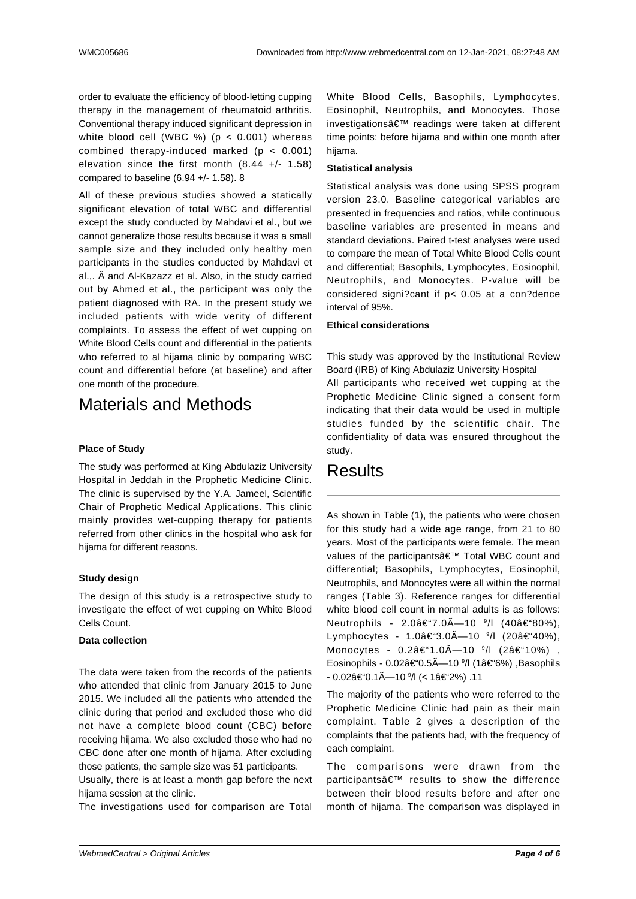order to evaluate the efficiency of blood-letting cupping therapy in the management of rheumatoid arthritis. Conventional therapy induced significant depression in white blood cell (WBC %) ( $p < 0.001$ ) whereas combined therapy-induced marked (p < 0.001) elevation since the first month (8.44 +/- 1.58) compared to baseline (6.94 +/- 1.58). 8

All of these previous studies showed a statically significant elevation of total WBC and differential except the study conducted by Mahdavi et al., but we cannot generalize those results because it was a small sample size and they included only healthy men participants in the studies conducted by Mahdavi et al.,. Â and Al-Kazazz et al. Also, in the study carried out by Ahmed et al., the participant was only the patient diagnosed with RA. In the present study we included patients with wide verity of different complaints. To assess the effect of wet cupping on White Blood Cells count and differential in the patients who referred to al hijama clinic by comparing WBC count and differential before (at baseline) and after one month of the procedure.

# Materials and Methods

#### **Place of Study**

The study was performed at King Abdulaziz University Hospital in Jeddah in the Prophetic Medicine Clinic. The clinic is supervised by the Y.A. Jameel, Scientific Chair of Prophetic Medical Applications. This clinic mainly provides wet-cupping therapy for patients referred from other clinics in the hospital who ask for hijama for different reasons.

#### **Study design**

The design of this study is a retrospective study to investigate the effect of wet cupping on White Blood Cells Count.

#### **Data collection**

The data were taken from the records of the patients who attended that clinic from January 2015 to June 2015. We included all the patients who attended the clinic during that period and excluded those who did not have a complete blood count (CBC) before receiving hijama. We also excluded those who had no CBC done after one month of hijama. After excluding those patients, the sample size was 51 participants.

Usually, there is at least a month gap before the next hijama session at the clinic.

The investigations used for comparison are Total

White Blood Cells, Basophils, Lymphocytes, Eosinophil, Neutrophils, and Monocytes. Those investigations' readings were taken at different time points: before hijama and within one month after hijama.

#### **Statistical analysis**

Statistical analysis was done using SPSS program version 23.0. Baseline categorical variables are presented in frequencies and ratios, while continuous baseline variables are presented in means and standard deviations. Paired t-test analyses were used to compare the mean of Total White Blood Cells count and differential; Basophils, Lymphocytes, Eosinophil, Neutrophils, and Monocytes. P-value will be considered signi?cant if p< 0.05 at a con?dence interval of 95%.

#### **Ethical considerations**

This study was approved by the Institutional Review Board (IRB) of King Abdulaziz University Hospital All participants who received wet cupping at the Prophetic Medicine Clinic signed a consent form indicating that their data would be used in multiple studies funded by the scientific chair. The confidentiality of data was ensured throughout the study.

## Results

As shown in Table (1), the patients who were chosen for this study had a wide age range, from 21 to 80 years. Most of the participants were female. The mean values of the participants' Total WBC count and differential; Basophils, Lymphocytes, Eosinophil, Neutrophils, and Monocytes were all within the normal ranges (Table 3). Reference ranges for differential white blood cell count in normal adults is as follows: Neutrophils - 2.0–7.0—10 <sup>9</sup>/l (40–80%), Lymphocytes - 1.0–3.0Ä—10 <sup>9</sup>/l (20–40%), Monocytes - 0.2–1.0×10 <sup>9</sup>/l (2–10%) , Eosinophils - 0.02–0.5—10 <sup>9</sup>/l (1–6%) ,Basophils - 0.02–0.1×10*°/\*l (< 1–2%) .11

The majority of the patients who were referred to the Prophetic Medicine Clinic had pain as their main complaint. Table 2 gives a description of the complaints that the patients had, with the frequency of each complaint.

The comparisons were drawn from the participants' results to show the difference between their blood results before and after one month of hijama. The comparison was displayed in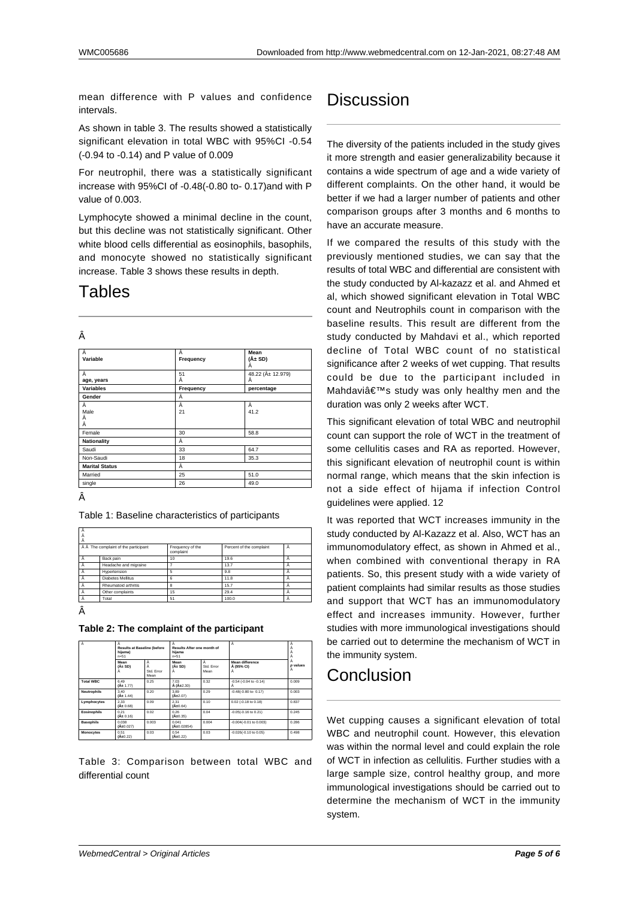mean difference with P values and confidence **intervals** 

As shown in table 3. The results showed a statistically significant elevation in total WBC with 95%CI -0.54 (-0.94 to -0.14) and P value of 0.009

For neutrophil, there was a statistically significant increase with 95%CI of -0.48(-0.80 to- 0.17)and with P value of 0.003.

Lymphocyte showed a minimal decline in the count, but this decline was not statistically significant. Other white blood cells differential as eosinophils, basophils, and monocyte showed no statistically significant increase. Table 3 shows these results in depth.

## Tables

| I |  |
|---|--|
|   |  |
|   |  |

| Â<br>Variable         | Â<br>Frequency | Mean<br>$(\hat{A} \pm SD)$<br>Â |  |
|-----------------------|----------------|---------------------------------|--|
| Â                     | 51             | 48.22 (ű 12.979)                |  |
| age, years            | Â              | Â                               |  |
| <b>Variables</b>      | Frequency      | percentage                      |  |
| Gender                | Â              |                                 |  |
| Â                     | Â              | Â                               |  |
| Male                  | 21             | 41.2                            |  |
| Â                     |                |                                 |  |
| Â                     |                |                                 |  |
| Female                | 30             | 58.8                            |  |
| <b>Nationality</b>    | Â              |                                 |  |
| Saudi                 | 33             | 64.7                            |  |
| Non-Saudi             | 18             | 35.3                            |  |
| <b>Marital Status</b> | Â              |                                 |  |
| Married               | 51.0<br>25     |                                 |  |
| single                | 26             | 49.0                            |  |

Â

 $\overline{1}$ 

Table 1: Baseline characteristics of participants

| А                                    |                          |                               |                          |   |
|--------------------------------------|--------------------------|-------------------------------|--------------------------|---|
| Å Å The complaint of the participant |                          | Frequency of the<br>complaint | Percent of the complaint | А |
| А                                    | Back pain                | 10                            | 19.6                     | А |
| А                                    | Headache and migraine    |                               | 13.7                     | А |
| А                                    | Hypertension             | ς                             | 9.8                      | А |
| Ā                                    | <b>Diabetes Mellitus</b> | ค                             | 11.8                     |   |
|                                      | Rheumatoid arthritis     | R                             | 15.7                     |   |
| А                                    | Other complaints         | 15                            | 29.4                     | А |
| Â                                    | Total                    | 51                            | 100.0                    | А |
|                                      |                          |                               |                          |   |

Â

**Table 2: The complaint of the participant**

| А                  | <b>Results at Baseline (before</b><br>hijama)<br>$n = 51$ |                             | А<br>Results After one month of<br>hijama<br>$n = 51$ |                        | Ā                                  |               |
|--------------------|-----------------------------------------------------------|-----------------------------|-------------------------------------------------------|------------------------|------------------------------------|---------------|
|                    | Mean<br>$(A \pm SD)$                                      | Ă<br>Å<br>Std Frror<br>Mean | Mean<br>$(\hat{A} \pm SD)$<br>Α                       | А<br>Std Frron<br>Mean | Mean difference<br>Å (95% CI)<br>А | А<br>p values |
| <b>Total WRC</b>   | 6.49<br>$(A + 1.77)$                                      | 0.25                        | 7.03<br>Š(ű2.30)                                      | 0.32                   | $-0.54$ $(-0.94$ to $-0.14)$       | 0.009         |
| <b>Neutrophils</b> | 3.40<br>(A± 1.44)                                         | 0.20                        | 3.89<br>$(A+2.07)$                                    | 0.29                   | $-0.48(-0.80$ to $-0.17$ )         | 0.003         |
| Lymphocytes        | 2.33<br>(A± 0.68)                                         | 0.09                        | 2.31<br>(A±0.64)                                      | 0.10                   | 0.02 (-0.18 to 0.18)               | 0.837         |
| Eosinophils        | 0.21<br>$(A \pm 0.16)$                                    | 0.02                        | 0.26<br>(A±0.35)                                      | 0.04                   | $-0.05(-0.16$ to $0.21$ )          | 0.245         |
| <b>Basophils</b>   | 0.038<br>(A <sub>±</sub> 0.027)                           | 0.003                       | 0.041<br>(A <sub>10.02854</sub> )                     | 0.004                  | $-0.004(-0.01$ to $0.003$ )        | 0.286         |
| <b>Monocytes</b>   | 0.51<br>(A±0.22)                                          | 0.03                        | 0.54<br>(A±0.22)                                      | 0.03                   | $-0.026(-0.10$ to $0.05$ )         | 0.498         |

Table 3: Comparison between total WBC and differential count

# **Discussion**

The diversity of the patients included in the study gives it more strength and easier generalizability because it contains a wide spectrum of age and a wide variety of different complaints. On the other hand, it would be better if we had a larger number of patients and other comparison groups after 3 months and 6 months to have an accurate measure.

If we compared the results of this study with the previously mentioned studies, we can say that the results of total WBC and differential are consistent with the study conducted by Al-kazazz et al. and Ahmed et al, which showed significant elevation in Total WBC count and Neutrophils count in comparison with the baseline results. This result are different from the study conducted by Mahdavi et al., which reported decline of Total WBC count of no statistical significance after 2 weeks of wet cupping. That results could be due to the participant included in Mahdavi's study was only healthy men and the duration was only 2 weeks after WCT.

This significant elevation of total WBC and neutrophil count can support the role of WCT in the treatment of some cellulitis cases and RA as reported. However, this significant elevation of neutrophil count is within normal range, which means that the skin infection is not a side effect of hijama if infection Control guidelines were applied. 12

It was reported that WCT increases immunity in the study conducted by Al-Kazazz et al. Also, WCT has an immunomodulatory effect, as shown in Ahmed et al., when combined with conventional therapy in RA patients. So, this present study with a wide variety of patient complaints had similar results as those studies and support that WCT has an immunomodulatory effect and increases immunity. However, further studies with more immunological investigations should be carried out to determine the mechanism of WCT in the immunity system.

## Conclusion

Wet cupping causes a significant elevation of total WBC and neutrophil count. However, this elevation was within the normal level and could explain the role of WCT in infection as cellulitis. Further studies with a large sample size, control healthy group, and more immunological investigations should be carried out to determine the mechanism of WCT in the immunity system.